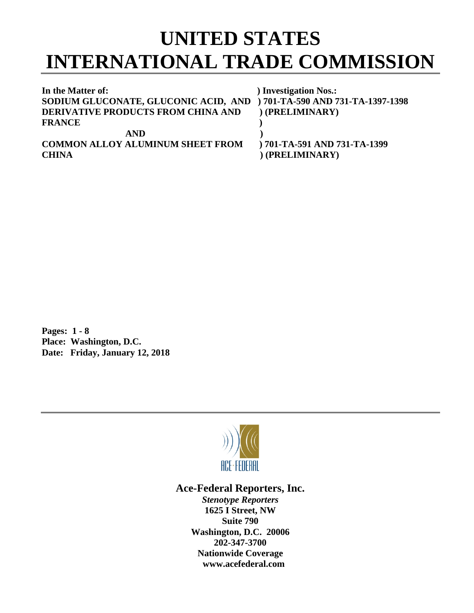## **UNITED STATES INTERNATIONAL TRADE COMMISSION**

| In the Matter of:                                                      | ) Investigation Nos.:        |
|------------------------------------------------------------------------|------------------------------|
| SODIUM GLUCONATE, GLUCONIC ACID, AND ) 701-TA-590 AND 731-TA-1397-1398 |                              |
| <b>DERIVATIVE PRODUCTS FROM CHINA AND</b>                              | (PRELIMINARY)                |
| <b>FRANCE</b>                                                          |                              |
| <b>AND</b>                                                             |                              |
| <b>COMMON ALLOY ALUMINUM SHEET FROM</b>                                | ) 701-TA-591 AND 731-TA-1399 |
| <b>CHINA</b>                                                           | (PRELIMINARY)                |

**Pages: 1 - 8 Place: Washington, D.C. Date: Friday, January 12, 2018**



## **Ace-Federal Reporters, Inc.**

*Stenotype Reporters* **1625 I Street, NW Suite 790 Washington, D.C. 20006 202-347-3700 Nationwide Coverage www.acefederal.com**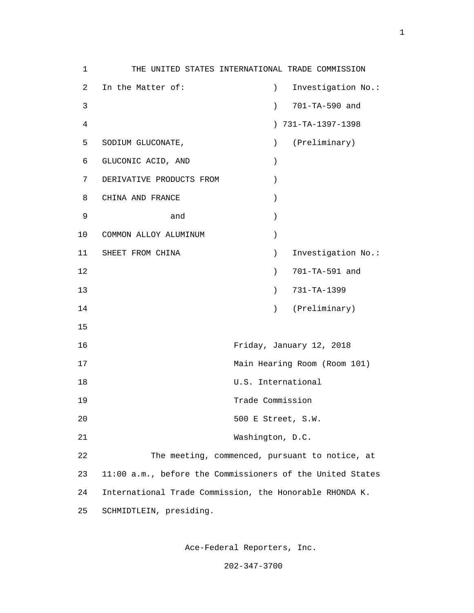1 THE UNITED STATES INTERNATIONAL TRADE COMMISSION 2 In the Matter of: ) Investigation No.: 3 ) 701-TA-590 and 4 ) 731-TA-1397-1398 5 SODIUM GLUCONATE, ) (Preliminary) 6 GLUCONIC ACID, AND ) 7 DERIVATIVE PRODUCTS FROM ) 8 CHINA AND FRANCE )  $9 \t and \t)$  10 COMMON ALLOY ALUMINUM ) 11 SHEET FROM CHINA (2008) SINVESTIGATION NO.: 12 ) 701-TA-591 and 13 ) 731-TA-1399 14 (Preliminary) (Preliminary) 15 16 Friday, January 12, 2018 17 Main Hearing Room (Room 101) 18 U.S. International 19 Trade Commission 20 500 E Street, S.W. 21 Washington, D.C. 22 The meeting, commenced, pursuant to notice, at 23 11:00 a.m., before the Commissioners of the United States 24 International Trade Commission, the Honorable RHONDA K. 25 SCHMIDTLEIN, presiding.

Ace-Federal Reporters, Inc.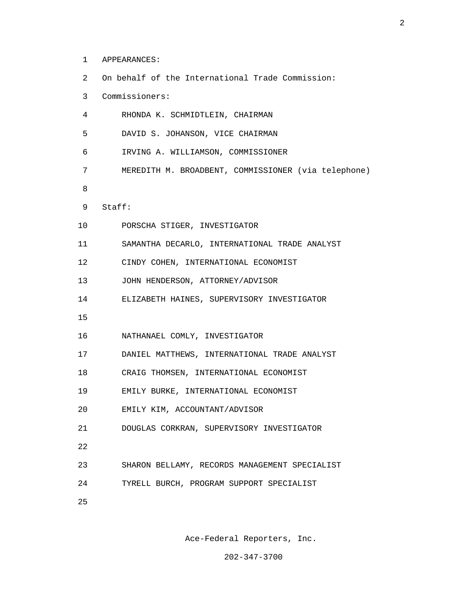- 1 APPEARANCES:
- 2 On behalf of the International Trade Commission:
- 3 Commissioners:
- 4 RHONDA K. SCHMIDTLEIN, CHAIRMAN
- 5 DAVID S. JOHANSON, VICE CHAIRMAN
- 6 IRVING A. WILLIAMSON, COMMISSIONER
- 7 MEREDITH M. BROADBENT, COMMISSIONER (via telephone)
- e a seu a constantin de la Barca de la Barca de la Barca de la Barca de la Barca de la Barca de la Barca de la
	- 9 Staff:
	- 10 PORSCHA STIGER, INVESTIGATOR
	- 11 SAMANTHA DECARLO, INTERNATIONAL TRADE ANALYST
	- 12 CINDY COHEN, INTERNATIONAL ECONOMIST
	- 13 JOHN HENDERSON, ATTORNEY/ADVISOR
	- 14 ELIZABETH HAINES, SUPERVISORY INVESTIGATOR
- 15
	- 16 NATHANAEL COMLY, INVESTIGATOR
	- 17 DANIEL MATTHEWS, INTERNATIONAL TRADE ANALYST
	- 18 CRAIG THOMSEN, INTERNATIONAL ECONOMIST
	- 19 EMILY BURKE, INTERNATIONAL ECONOMIST
	- 20 EMILY KIM, ACCOUNTANT/ADVISOR
	- 21 DOUGLAS CORKRAN, SUPERVISORY INVESTIGATOR
- 22
	- 23 SHARON BELLAMY, RECORDS MANAGEMENT SPECIALIST
	- 24 TYRELL BURCH, PROGRAM SUPPORT SPECIALIST
- <u>25</u>

Ace-Federal Reporters, Inc.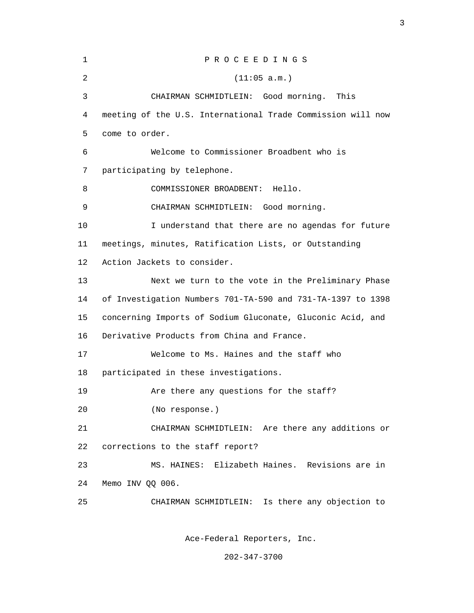| $\mathbf 1$ | PROCEEDINGS                                                 |
|-------------|-------------------------------------------------------------|
| 2           | (11:05 a.m.)                                                |
| 3           | CHAIRMAN SCHMIDTLEIN: Good morning.<br>This                 |
| 4           | meeting of the U.S. International Trade Commission will now |
| 5           | come to order.                                              |
| 6           | Welcome to Commissioner Broadbent who is                    |
| 7           | participating by telephone.                                 |
| 8           | COMMISSIONER BROADBENT:<br>Hello.                           |
| 9           | CHAIRMAN SCHMIDTLEIN: Good morning.                         |
| 10          | I understand that there are no agendas for future           |
| 11          | meetings, minutes, Ratification Lists, or Outstanding       |
| 12          | Action Jackets to consider.                                 |
| 13          | Next we turn to the vote in the Preliminary Phase           |
| 14          | of Investigation Numbers 701-TA-590 and 731-TA-1397 to 1398 |
| 15          | concerning Imports of Sodium Gluconate, Gluconic Acid, and  |
| 16          | Derivative Products from China and France.                  |
| 17          | Welcome to Ms. Haines and the staff who                     |
| 18          | participated in these investigations.                       |
| 19          | Are there any questions for the staff?                      |
| 20          | (No response.)                                              |
| 21          | CHAIRMAN SCHMIDTLEIN: Are there any additions or            |
| 22          | corrections to the staff report?                            |
| 23          | MS. HAINES: Elizabeth Haines. Revisions are in              |
| 24          | Memo INV QQ 006.                                            |
| 25          | CHAIRMAN SCHMIDTLEIN: Is there any objection to             |
|             |                                                             |

Ace-Federal Reporters, Inc.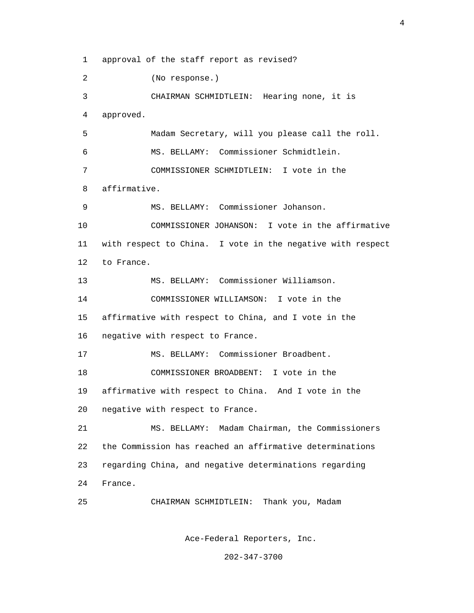1 approval of the staff report as revised?

2 (No response.)

 3 CHAIRMAN SCHMIDTLEIN: Hearing none, it is 4 approved.

 5 Madam Secretary, will you please call the roll. 6 MS. BELLAMY: Commissioner Schmidtlein. 7 COMMISSIONER SCHMIDTLEIN: I vote in the 8 affirmative.

9 MS. BELLAMY: Commissioner Johanson.

 10 COMMISSIONER JOHANSON: I vote in the affirmative 11 with respect to China. I vote in the negative with respect 12 to France.

13 MS. BELLAMY: Commissioner Williamson.

 14 COMMISSIONER WILLIAMSON: I vote in the 15 affirmative with respect to China, and I vote in the 16 negative with respect to France.

17 MS. BELLAMY: Commissioner Broadbent.

 18 COMMISSIONER BROADBENT: I vote in the 19 affirmative with respect to China. And I vote in the 20 negative with respect to France.

 21 MS. BELLAMY: Madam Chairman, the Commissioners 22 the Commission has reached an affirmative determinations 23 regarding China, and negative determinations regarding 24 France.

25 CHAIRMAN SCHMIDTLEIN: Thank you, Madam

Ace-Federal Reporters, Inc.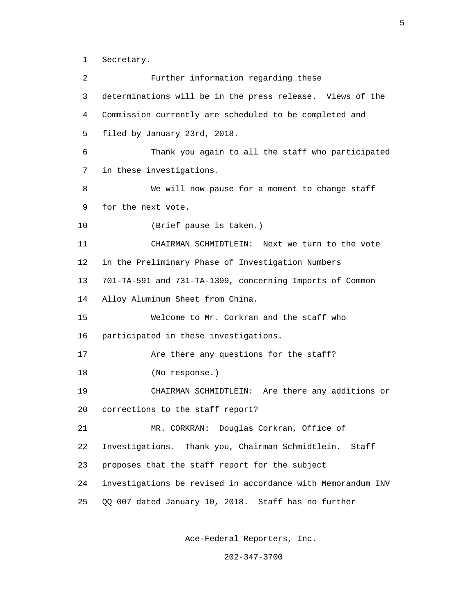1 Secretary.

 2 Further information regarding these 3 determinations will be in the press release. Views of the 4 Commission currently are scheduled to be completed and 5 filed by January 23rd, 2018. 6 Thank you again to all the staff who participated 7 in these investigations. 8 We will now pause for a moment to change staff 9 for the next vote. 10 (Brief pause is taken.) 11 CHAIRMAN SCHMIDTLEIN: Next we turn to the vote 12 in the Preliminary Phase of Investigation Numbers 13 701-TA-591 and 731-TA-1399, concerning Imports of Common 14 Alloy Aluminum Sheet from China. 15 Welcome to Mr. Corkran and the staff who 16 participated in these investigations. 17 Are there any questions for the staff? 18 (No response.) 19 CHAIRMAN SCHMIDTLEIN: Are there any additions or 20 corrections to the staff report? 21 MR. CORKRAN: Douglas Corkran, Office of 22 Investigations. Thank you, Chairman Schmidtlein. Staff 23 proposes that the staff report for the subject 24 investigations be revised in accordance with Memorandum INV 25 QQ 007 dated January 10, 2018. Staff has no further

Ace-Federal Reporters, Inc.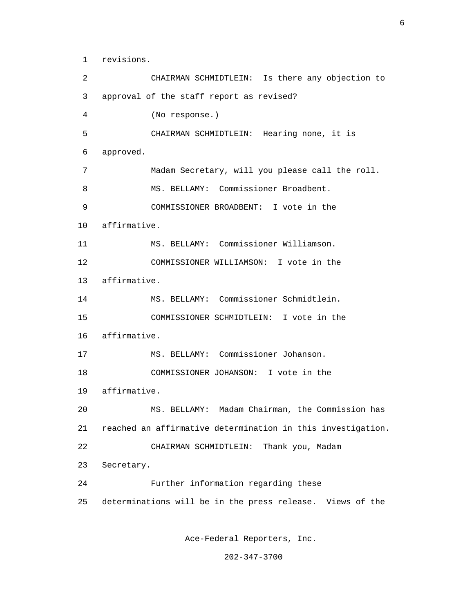1 revisions.

 2 CHAIRMAN SCHMIDTLEIN: Is there any objection to 3 approval of the staff report as revised? 4 (No response.) 5 CHAIRMAN SCHMIDTLEIN: Hearing none, it is 6 approved. 7 Madam Secretary, will you please call the roll. 8 MS. BELLAMY: Commissioner Broadbent. 9 COMMISSIONER BROADBENT: I vote in the 10 affirmative. 11 MS. BELLAMY: Commissioner Williamson. 12 COMMISSIONER WILLIAMSON: I vote in the 13 affirmative. 14 MS. BELLAMY: Commissioner Schmidtlein. 15 COMMISSIONER SCHMIDTLEIN: I vote in the 16 affirmative. 17 MS. BELLAMY: Commissioner Johanson. 18 COMMISSIONER JOHANSON: I vote in the 19 affirmative. 20 MS. BELLAMY: Madam Chairman, the Commission has 21 reached an affirmative determination in this investigation. 22 CHAIRMAN SCHMIDTLEIN: Thank you, Madam 23 Secretary. 24 Further information regarding these 25 determinations will be in the press release. Views of the

Ace-Federal Reporters, Inc.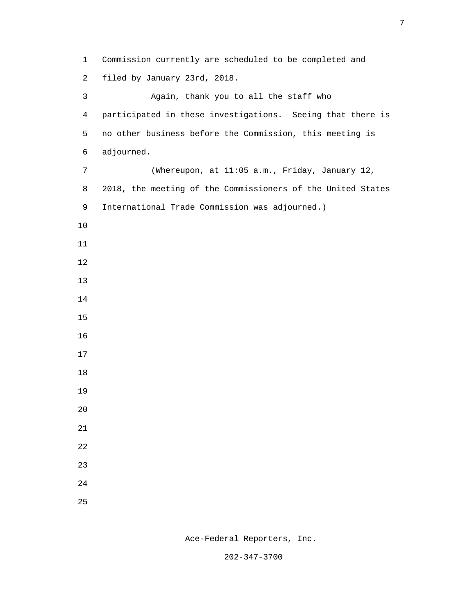1 Commission currently are scheduled to be completed and 2 filed by January 23rd, 2018. 3 Again, thank you to all the staff who 4 participated in these investigations. Seeing that there is 5 no other business before the Commission, this meeting is 6 adjourned. 7 (Whereupon, at 11:05 a.m., Friday, January 12, 8 2018, the meeting of the Commissioners of the United States 9 International Trade Commission was adjourned.) 10 11 12 13 14 15 16 17 18 19 20 21 22 23 24 <u>25</u>

Ace-Federal Reporters, Inc.